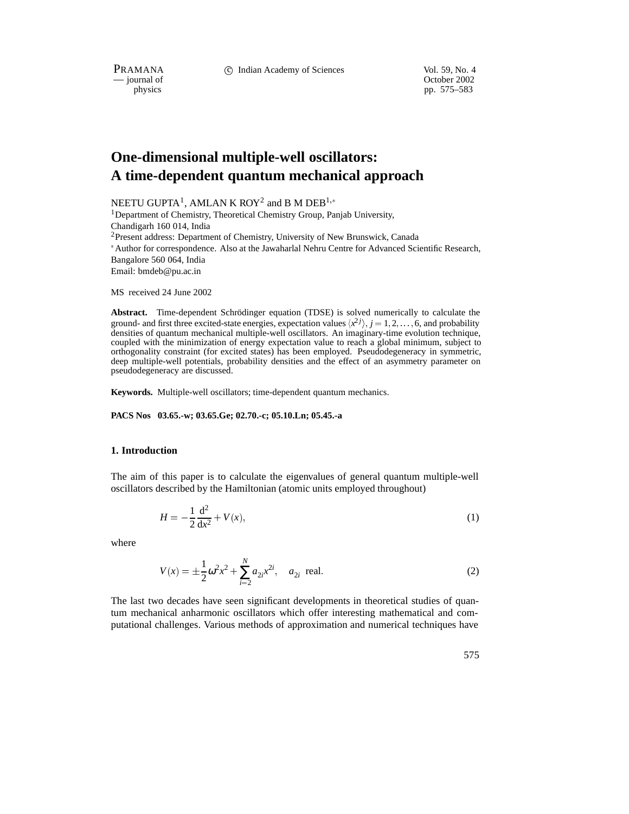PRAMANA 
<sup>C</sup> Indian Academy of Sciences 
<sup>Vol. 59, No. 4<br>
— journal of Cotober 2002</sup>

physics<br>
physics<br>
pp. 575–583<br>
pp. 575–583 pp. 575–583

# **One-dimensional multiple-well oscillators: A time-dependent quantum mechanical approach**

NEETU GUPTA<sup>1</sup>, AMLAN K ROY<sup>2</sup> and B M DEB<sup>1,\*</sup> <sup>1</sup>Department of Chemistry, Theoretical Chemistry Group, Panjab University, Chandigarh 160 014, India <sup>2</sup>Present address: Department of Chemistry, University of New Brunswick, Canada Author for correspondence. Also at the Jawaharlal Nehru Centre for Advanced Scientific Research, Bangalore 560 064, India Email: bmdeb@pu.ac.in

MS received 24 June 2002

Abstract. Time-dependent Schrödinger equation (TDSE) is solved numerically to calculate the ground- and first three excited-state energies, expectation values  $\langle x^2 j \rangle$ ,  $j = 1, 2, \ldots, 6$ , and probability densities of quantum mechanical multiple-well oscillators. An imaginary-time evolution technique, coupled with the minimization of energy expectation value to reach a global minimum, subject to orthogonality constraint (for excited states) has been employed. Pseudodegeneracy in symmetric, deep multiple-well potentials, probability densities and the effect of an asymmetry parameter on pseudodegeneracy are discussed.

**Keywords.** Multiple-well oscillators; time-dependent quantum mechanics.

#### **PACS Nos 03.65.-w; 03.65.Ge; 02.70.-c; 05.10.Ln; 05.45.-a**

## **1. Introduction**

The aim of this paper is to calculate the eigenvalues of general quantum multiple-well oscillators described by the Hamiltonian (atomic units employed throughout)

$$
H = -\frac{1}{2}\frac{d^2}{dx^2} + V(x),\tag{1}
$$

where

$$
V(x) = \pm \frac{1}{2} \omega^2 x^2 + \sum_{i=2}^{N} a_{2i} x^{2i}, \quad a_{2i} \text{ real.}
$$
 (2)

The last two decades have seen significant developments in theoretical studies of quantum mechanical anharmonic oscillators which offer interesting mathematical and computational challenges. Various methods of approximation and numerical techniques have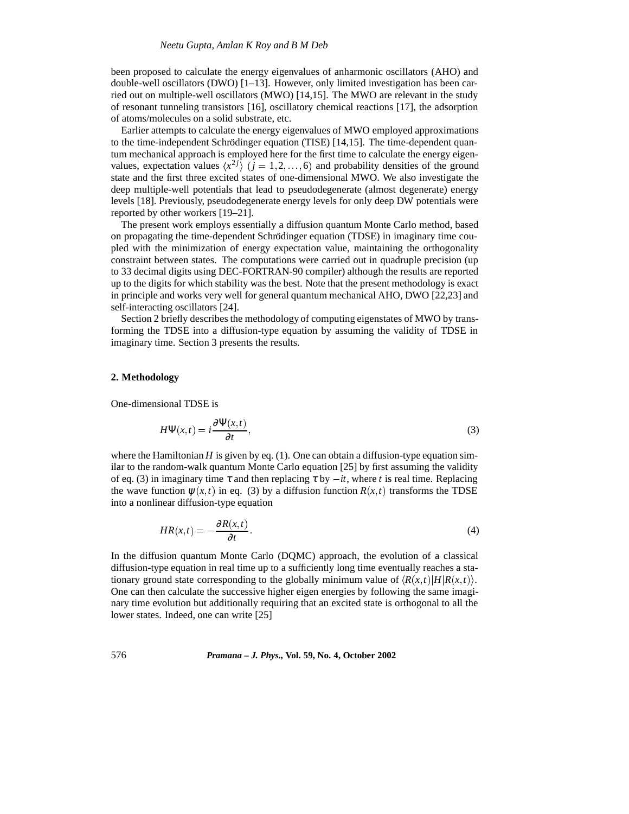been proposed to calculate the energy eigenvalues of anharmonic oscillators (AHO) and double-well oscillators (DWO)  $[1-13]$ . However, only limited investigation has been carried out on multiple-well oscillators (MWO) [14,15]. The MWO are relevant in the study of resonant tunneling transistors [16], oscillatory chemical reactions [17], the adsorption of atoms/molecules on a solid substrate, etc.

Earlier attempts to calculate the energy eigenvalues of MWO employed approximations to the time-independent Schrödinger equation (TISE)  $[14,15]$ . The time-dependent quantum mechanical approach is employed here for the first time to calculate the energy eigenvalues, expectation values  $\langle x^{2j} \rangle$  ( $j = 1, 2, ..., 6$ ) and probability densities of the ground state and the first three excited states of one-dimensional MWO. We also investigate the deep multiple-well potentials that lead to pseudodegenerate (almost degenerate) energy levels [18]. Previously, pseudodegenerate energy levels for only deep DW potentials were reported by other workers [19–21].

The present work employs essentially a diffusion quantum Monte Carlo method, based on propagating the time-dependent Schrödinger equation (TDSE) in imaginary time coupled with the minimization of energy expectation value, maintaining the orthogonality constraint between states. The computations were carried out in quadruple precision (up to 33 decimal digits using DEC-FORTRAN-90 compiler) although the results are reported up to the digits for which stability was the best. Note that the present methodology is exact in principle and works very well for general quantum mechanical AHO, DWO [22,23] and self-interacting oscillators [24].

Section 2 briefly describes the methodology of computing eigenstates of MWO by transforming the TDSE into a diffusion-type equation by assuming the validity of TDSE in imaginary time. Section 3 presents the results.

## **2. Methodology**

One-dimensional TDSE is

$$
H\Psi(x,t) = i\frac{\partial \Psi(x,t)}{\partial t},\tag{3}
$$

where the Hamiltonian  $H$  is given by eq.  $(1)$ . One can obtain a diffusion-type equation similar to the random-walk quantum Monte Carlo equation [25] by first assuming the validity of eq. (3) in imaginary time  $\tau$  and then replacing  $\tau$  by  $-it$ , where *t* is real time. Replacing the wave function  $\psi(x,t)$  in eq. (3) by a diffusion function  $R(x,t)$  transforms the TDSE into a nonlinear diffusion-type equation

$$
HR(x,t) = -\frac{\partial R(x,t)}{\partial t}.
$$
\n(4)

In the diffusion quantum Monte Carlo (DQMC) approach, the evolution of a classical diffusion-type equation in real time up to a sufficiently long time eventually reaches a stationary ground state corresponding to the globally minimum value of  $\langle R(x,t)|H|R(x,t)\rangle$ . One can then calculate the successive higher eigen energies by following the same imaginary time evolution but additionally requiring that an excited state is orthogonal to all the lower states. Indeed, one can write [25]

# 576 *Pramana – J. Phys.,* **Vol. 59, No. 4, October 2002**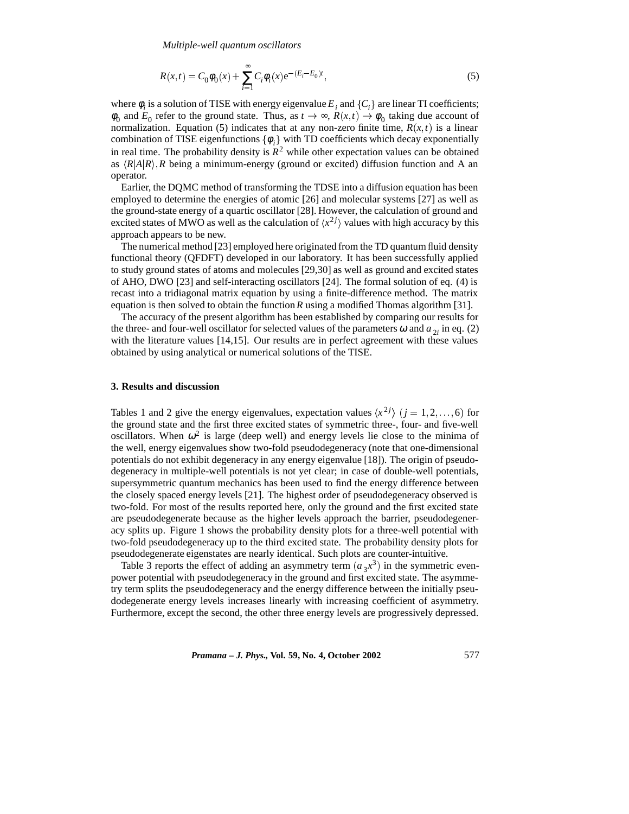*Multiple-well quantum oscillators*

$$
R(x,t) = C_0 \phi_0(x) + \sum_{i=1}^{\infty} C_i \phi_i(x) e^{-(E_i - E_0)t},
$$
\n(5)

where  $\phi_i$  is a solution of TISE with energy eigenvalue  $E_i$  and  $\{C_i\}$  are linear TI coefficients;  $\phi_0$  and  $E_0$  refer to the ground state. Thus, as  $t \to \infty$ ,  $R(x,t) \to \phi_0$  taking due account of normalization. Equation (5) indicates that at any non-zero finite time,  $R(x,t)$  is a linear combination of TISE eigenfunctions  $\{\phi_i\}$  with TD coefficients which decay exponentially in real time. The probability density is  $R^2$  while other expectation values can be obtained as  $\langle R|A|R\rangle$ , *R* being a minimum-energy (ground or excited) diffusion function and A an operator.

Earlier, the DQMC method of transforming the TDSE into a diffusion equation has been employed to determine the energies of atomic [26] and molecular systems [27] as well as the ground-state energy of a quartic oscillator [28]. However, the calculation of ground and excited states of MWO as well as the calculation of  $\langle x^2 \rangle$  values with high accuracy by this approach appears to be new.

The numerical method [23] employed here originated from the TD quantum fluid density functional theory (QFDFT) developed in our laboratory. It has been successfully applied to study ground states of atoms and molecules [29,30] as well as ground and excited states of AHO, DWO [23] and self-interacting oscillators [24]. The formal solution of eq. (4) is recast into a tridiagonal matrix equation by using a finite-difference method. The matrix equation is then solved to obtain the function*R* using a modified Thomas algorithm [31].

The accuracy of the present algorithm has been established by comparing our results for the three- and four-well oscillator for selected values of the parameters  $\omega$  and  $a_{\gamma}$  in eq. (2) with the literature values [14,15]. Our results are in perfect agreement with these values obtained by using analytical or numerical solutions of the TISE.

## **3. Results and discussion**

Tables 1 and 2 give the energy eigenvalues, expectation values  $\langle x^{2j} \rangle$  ( $j = 1, 2, \ldots, 6$ ) for the ground state and the first three excited states of symmetric three-, four- and five-well oscillators. When  $\omega^2$  is large (deep well) and energy levels lie close to the minima of the well, energy eigenvalues show two-fold pseudodegeneracy (note that one-dimensional potentials do not exhibit degeneracy in any energy eigenvalue [18]). The origin of pseudodegeneracy in multiple-well potentials is not yet clear; in case of double-well potentials, supersymmetric quantum mechanics has been used to find the energy difference between the closely spaced energy levels [21]. The highest order of pseudodegeneracy observed is two-fold. For most of the results reported here, only the ground and the first excited state are pseudodegenerate because as the higher levels approach the barrier, pseudodegeneracy splits up. Figure 1 shows the probability density plots for a three-well potential with two-fold pseudodegeneracy up to the third excited state. The probability density plots for pseudodegenerate eigenstates are nearly identical. Such plots are counter-intuitive.

Table 3 reports the effect of adding an asymmetry term  $(a_3x^3)$  in the symmetric evenpower potential with pseudodegeneracy in the ground and first excited state. The asymmetry term splits the pseudodegeneracy and the energy difference between the initially pseudodegenerate energy levels increases linearly with increasing coefficient of asymmetry. Furthermore, except the second, the other three energy levels are progressively depressed.

*Pramana – J. Phys.,* **Vol. 59, No. 4, October 2002** 577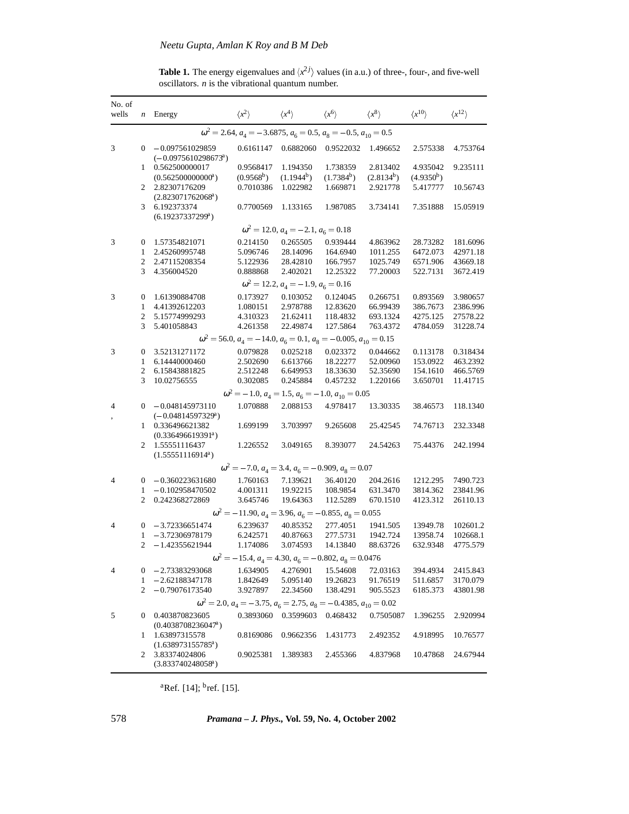**Table 1.** The energy eigenvalues and  $\langle x^2 j \rangle$  values (in a.u.) of three-, four-, and five-well oscillators. *n* is the vibrational quantum number.

| No. of<br>wells                                                                   | n              | Energy                                                                           | $\langle x^2 \rangle$     | $\langle x^4 \rangle$                                                           | $\langle x^6 \rangle$              | $\langle x^8 \rangle$              | $\langle x^{10} \rangle$           | $\langle x^{12} \rangle$ |  |  |
|-----------------------------------------------------------------------------------|----------------|----------------------------------------------------------------------------------|---------------------------|---------------------------------------------------------------------------------|------------------------------------|------------------------------------|------------------------------------|--------------------------|--|--|
| $\omega^2 = 2.64$ , $a_4 = -3.6875$ , $a_6 = 0.5$ , $a_8 = -0.5$ , $a_{10} = 0.5$ |                |                                                                                  |                           |                                                                                 |                                    |                                    |                                    |                          |  |  |
| 3                                                                                 | $\overline{0}$ | $-0.097561029859$<br>$(-0.0975610298673a)$                                       | 0.6161147                 | 0.6882060                                                                       | 0.9522032                          | 1.496652                           | 2.575338                           | 4.753764                 |  |  |
|                                                                                   | 1              | 0.562500000017<br>(0.562500000000 <sup>a</sup> )                                 | 0.9568417<br>$(0.9568^b)$ | 1.194350<br>$(1.1944^b)$                                                        | 1.738359<br>(1.7384 <sup>b</sup> ) | 2.813402<br>(2.8134 <sup>b</sup> ) | 4.935042<br>(4.9350 <sup>b</sup> ) | 9.235111                 |  |  |
|                                                                                   | 2              | 2.82307176209<br>$(2.823071762068^a)$                                            | 0.7010386                 | 1.022982                                                                        | 1.669871                           | 2.921778                           | 5.417777                           | 10.56743                 |  |  |
|                                                                                   | 3              | 6.192373374<br>$(6.19237337299^a)$                                               | 0.7700569                 | 1.133165                                                                        | 1.987085                           | 3.734141                           | 7.351888                           | 15.05919                 |  |  |
|                                                                                   |                |                                                                                  |                           | $\omega^2 = 12.0, a_4 = -2.1, a_6 = 0.18$                                       |                                    |                                    |                                    |                          |  |  |
| 3                                                                                 | $\bf{0}$       | 1.57354821071                                                                    | 0.214150                  | 0.265505                                                                        | 0.939444                           | 4.863962                           | 28.73282                           | 181.6096                 |  |  |
|                                                                                   | $\mathbf{1}$   | 2.45260995748                                                                    | 5.096746                  | 28.14096                                                                        | 164.6940                           | 1011.255                           | 6472.073                           | 42971.18                 |  |  |
|                                                                                   | 2              | 2.47115208354                                                                    | 5.122936                  | 28.42810                                                                        | 166.7957                           | 1025.749                           | 6571.906                           | 43669.18                 |  |  |
|                                                                                   | 3              | 4.356004520                                                                      | 0.888868                  | 2.402021                                                                        | 12.25322                           | 77.20003                           | 522.7131                           | 3672.419                 |  |  |
| $\omega^2 = 12.2, a_4 = -1.9, a_6 = 0.16$                                         |                |                                                                                  |                           |                                                                                 |                                    |                                    |                                    |                          |  |  |
| 3                                                                                 | $\bf{0}$       | 1.61390884708                                                                    | 0.173927                  | 0.103052                                                                        | 0.124045                           | 0.266751                           | 0.893569                           | 3.980657                 |  |  |
|                                                                                   | $\mathbf{1}$   | 4.41392612203                                                                    | 1.080151                  | 2.978788                                                                        | 12.83620                           | 66.99439                           | 386.7673                           | 2386.996                 |  |  |
|                                                                                   | 2<br>3         | 5.15774999293                                                                    | 4.310323                  | 21.62411<br>22.49874                                                            | 118.4832                           | 693.1324                           | 4275.125                           | 27578.22                 |  |  |
|                                                                                   |                | 5.401058843                                                                      | 4.261358                  |                                                                                 | 127.5864                           | 763.4372                           | 4784.059                           | 31228.74                 |  |  |
|                                                                                   |                |                                                                                  |                           | $\omega^2$ = 56.0, $a_4$ = -14.0, $a_6$ = 0.1, $a_8$ = -0.005, $a_{10}$ = 0.15  |                                    |                                    |                                    |                          |  |  |
| 3                                                                                 | 0<br>1         | 3.52131271172<br>6.14440000460                                                   | 0.079828<br>2.502690      | 0.025218<br>6.613766                                                            | 0.023372<br>18.22277               | 0.044662<br>52.00960               | 0.113178<br>153.0922               | 0.318434<br>463.2392     |  |  |
|                                                                                   | 2              | 6.15843881825                                                                    | 2.512248                  | 6.649953                                                                        | 18.33630                           | 52.35690                           | 154.1610                           | 466.5769                 |  |  |
|                                                                                   | 3              | 10.02756555                                                                      | 0.302085                  | 0.245884                                                                        | 0.457232                           | 1.220166                           | 3.650701                           | 11.41715                 |  |  |
|                                                                                   |                |                                                                                  |                           | $\omega^2 = -1.0$ , $a_4 = 1.5$ , $a_6 = -1.0$ , $a_{10} = 0.05$                |                                    |                                    |                                    |                          |  |  |
| 4                                                                                 | 0              | $-0.048145973110$                                                                | 1.070888                  | 2.088153                                                                        | 4.978417                           | 13.30335                           | 38.46573                           | 118.1340                 |  |  |
|                                                                                   | 1              | $(-0.04814597329a)$<br>0.336496621382                                            | 1.699199                  | 3.703997                                                                        | 9.265608                           | 25.42545                           | 74.76713                           | 232.3348                 |  |  |
|                                                                                   | 2              | (0.336496619391 <sup>a</sup> )<br>1.55551116437<br>(1.55551116914 <sup>a</sup> ) | 1.226552                  | 3.049165                                                                        | 8.393077                           | 24.54263                           | 75.44376                           | 242.1994                 |  |  |
|                                                                                   |                |                                                                                  |                           | $\omega^2 = -7.0$ , $a_4 = 3.4$ , $a_6 = -0.909$ , $a_8 = 0.07$                 |                                    |                                    |                                    |                          |  |  |
| 4                                                                                 | 0              | $-0.360223631680$                                                                | 1.760163                  | 7.139621                                                                        | 36.40120                           | 204.2616                           | 1212.295                           | 7490.723                 |  |  |
|                                                                                   | 1              | $-0.102958470502$                                                                | 4.001311                  | 19.92215                                                                        | 108.9854                           | 631.3470                           | 3814.362                           | 23841.96                 |  |  |
|                                                                                   | 2              | 0.242368272869                                                                   | 3.645746                  | 19.64363                                                                        | 112.5289                           | 670.1510                           | 4123.312                           | 26110.13                 |  |  |
|                                                                                   |                |                                                                                  |                           | $\omega^2 = -11.90$ , $a_4 = 3.96$ , $a_6 = -0.855$ , $a_8 = 0.055$             |                                    |                                    |                                    |                          |  |  |
| 4                                                                                 | 0              | $-3.72336651474$                                                                 | 6.239637                  | 40.85352                                                                        | 277.4051                           | 1941.505                           | 13949.78                           | 102601.2                 |  |  |
|                                                                                   | 1              | -3.72306978179                                                                   | 6.242571                  | 40.87663                                                                        | 277.5731                           | 1942.724                           | 13958.74                           | 102668.1                 |  |  |
|                                                                                   | 2              | –1.42355621944                                                                   | 1.174086                  | 3.074593                                                                        | 14.13840                           | 88.63726                           | 632.9348                           | 4775.579                 |  |  |
|                                                                                   |                |                                                                                  |                           | $\omega^2 = -15.4$ , $a_4 = 4.30$ , $a_6 = -0.802$ , $a_8 = 0.0476$             |                                    |                                    |                                    |                          |  |  |
| 4                                                                                 | 0              | $-2.73383293068$                                                                 | 1.634905                  | 4.276901                                                                        | 15.54608                           | 72.03163                           | 394.4934                           | 2415.843                 |  |  |
|                                                                                   | 1              | $-2.62188347178$                                                                 | 1.842649                  | 5.095140                                                                        | 19.26823                           | 91.76519                           | 511.6857                           | 3170.079                 |  |  |
|                                                                                   | 2              | $-0.79076173540$                                                                 | 3.927897                  | 22.34560                                                                        | 138.4291                           | 905.5523                           | 6185.373                           | 43801.98                 |  |  |
|                                                                                   |                |                                                                                  |                           | $\omega^2$ = 2.0, $a_4$ = -3.75, $a_6$ = 2.75, $a_8$ = -0.4385, $a_{10}$ = 0.02 |                                    |                                    |                                    |                          |  |  |
| 5                                                                                 | 0              | 0.403870823605<br>(0.4038708236047 <sup>a</sup> )                                | 0.3893060                 | 0.3599603                                                                       | 0.468432                           | 0.7505087                          | 1.396255                           | 2.920994                 |  |  |
|                                                                                   | 1              | 1.63897315578<br>$(1.638973155785^a)$                                            | 0.8169086                 | 0.9662356                                                                       | 1.431773                           | 2.492352                           | 4.918995                           | 10.76577                 |  |  |
|                                                                                   | 2              | 3.83374024806<br>$(3.833740248058^a)$                                            | 0.9025381                 | 1.389383                                                                        | 2.455366                           | 4.837968                           | 10.47868                           | 24.67944                 |  |  |

 ${}^{a}$ Ref. [14];  ${}^{b}$ ref. [15].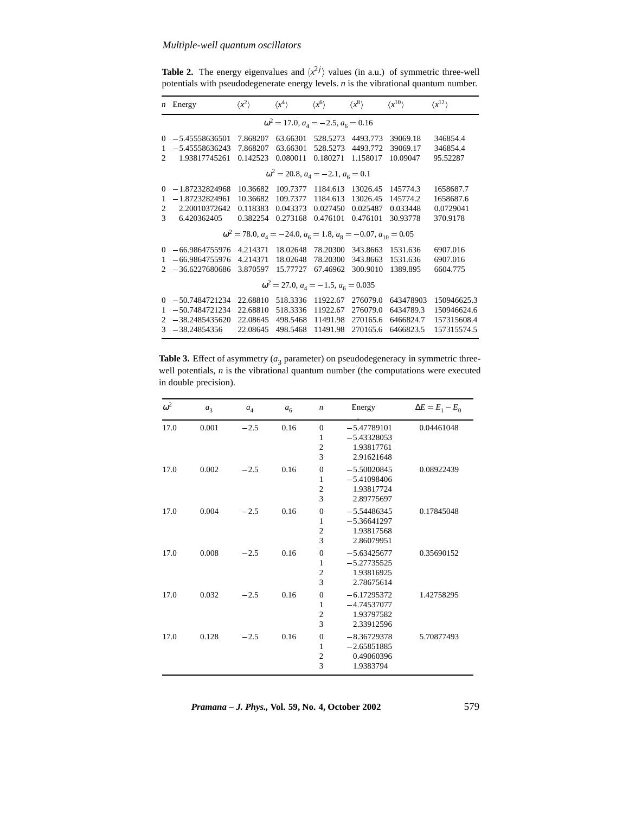**Table 2.** The energy eigenvalues and  $\langle x^2 j \rangle$  values (in a.u.) of symmetric three-well potentials with pseudodegenerate energy levels. *n* is the vibrational quantum number.

| $\boldsymbol{n}$ | Energy           | $\langle x^2 \rangle$ | $\langle x^4 \rangle$                            | $\langle x^6 \rangle$ | $\langle x^8 \rangle$                                                             | $\langle x^{10} \rangle$ | $\langle x^{12} \rangle$ |
|------------------|------------------|-----------------------|--------------------------------------------------|-----------------------|-----------------------------------------------------------------------------------|--------------------------|--------------------------|
|                  |                  |                       | $\omega^2 = 17.0, a_4 = -2.5, a_6 = 0.16$        |                       |                                                                                   |                          |                          |
| $\Omega$         | $-5.45558636501$ | 7.868207              | 63.66301                                         | 528.5273              | 4493.773                                                                          | 39069.18                 | 346854.4                 |
| 1                | $-5.45558636243$ | 7.868207              | 63.66301                                         | 528.5273              | 4493.772                                                                          | 39069.17                 | 346854.4                 |
| $\mathfrak{D}$   | 1.93817745261    | 0.142523              | 0.080011                                         | 0.180271              | 1.158017                                                                          | 10.09047                 | 95.52287                 |
|                  |                  |                       | $\omega^2 = 20.8$ , $a_4 = -2.1$ , $a_6 = 0.1$   |                       |                                                                                   |                          |                          |
| $\Omega$         | $-1.87232824968$ | 10.36682              | 109.7377                                         | 1184.613              | 13026.45                                                                          | 145774.3                 | 1658687.7                |
| 1                | $-1.87232824961$ | 10.36682              | 109.7377                                         | 1184.613              | 13026.45                                                                          | 145774.2                 | 1658687.6                |
| 2                | 2.20010372642    | 0.118383              | 0.043373                                         | 0.027450              | 0.025487                                                                          | 0.033448                 | 0.0729041                |
| $\mathcal{R}$    | 6.420362405      | 0.382254              | 0.273168                                         | 0.476101              | 0.476101                                                                          | 30.93778                 | 370.9178                 |
|                  |                  |                       |                                                  |                       | $\omega^2 = 78.0$ , $a_4 = -24.0$ , $a_6 = 1.8$ , $a_8 = -0.07$ , $a_{10} = 0.05$ |                          |                          |
| $\Omega$         | $-66.9864755976$ | 4.214371              | 18.02648                                         | 78.20300              | 343.8663                                                                          | 1531.636                 | 6907.016                 |
| 1                | $-66.9864755976$ | 4.214371              | 18.02648                                         | 78.20300              | 343.8663                                                                          | 1531.636                 | 6907.016                 |
| $\mathfrak{D}$   | $-36.6227680686$ | 3.870597              | 15.77727                                         | 67.46962              | 300.9010                                                                          | 1389.895                 | 6604.775                 |
|                  |                  |                       | $\omega^2 = 27.0$ , $a_4 = -1.5$ , $a_6 = 0.035$ |                       |                                                                                   |                          |                          |
| $\Omega$         | $-50.7484721234$ | 22.68810              | 518.3336                                         | 11922.67              | 276079.0                                                                          | 643478903                | 150946625.3              |
| 1                | $-50.7484721234$ | 22.68810              | 518.3336                                         | 11922.67              | 276079.0                                                                          | 6434789.3                | 150946624.6              |
| $\mathfrak{D}$   | $-38.2485435620$ | 22.08645              | 498.5468                                         | 11491.98              | 270165.6                                                                          | 6466824.7                | 157315608.4              |
| $\mathcal{R}$    | $-38.24854356$   | 22.08645              | 498.5468                                         | 11491.98              | 270165.6                                                                          | 6466823.5                | 157315574.5              |

**Table 3.** Effect of asymmetry  $(a_3)$  parameter) on pseudodegeneracy in symmetric threewell potentials, *n* is the vibrational quantum number (the computations were executed in double precision).

| $\omega^2$ | $a_3$ | $a_4$  | a <sub>6</sub> | $\boldsymbol{n}$                                      | Energy                                                     | $\Delta E = E_1 - E_0$ |
|------------|-------|--------|----------------|-------------------------------------------------------|------------------------------------------------------------|------------------------|
| 17.0       | 0.001 | $-2.5$ | 0.16           | $\overline{0}$<br>1<br>$\overline{c}$<br>3            | $-5.47789101$<br>$-5.43328053$<br>1.93817761<br>2.91621648 | 0.04461048             |
| 17.0       | 0.002 | $-2.5$ | 0.16           | $\boldsymbol{0}$<br>$\mathbf{1}$<br>$\mathbf{2}$<br>3 | $-5.50020845$<br>$-5.41098406$<br>1.93817724<br>2.89775697 | 0.08922439             |
| 17.0       | 0.004 | $-2.5$ | 0.16           | $\boldsymbol{0}$<br>1<br>$\overline{c}$<br>3          | $-5.54486345$<br>$-5.36641297$<br>1.93817568<br>2.86079951 | 0.17845048             |
| 17.0       | 0.008 | $-2.5$ | 0.16           | $\boldsymbol{0}$<br>$\mathbf{1}$<br>$\mathbf{2}$<br>3 | $-5.63425677$<br>$-5.27735525$<br>1.93816925<br>2.78675614 | 0.35690152             |
| 17.0       | 0.032 | $-2.5$ | 0.16           | $\boldsymbol{0}$<br>1<br>$\mathbf{2}$<br>3            | $-6.17295372$<br>$-4.74537077$<br>1.93797582<br>2.33912596 | 1.42758295             |
| 17.0       | 0.128 | $-2.5$ | 0.16           | $\boldsymbol{0}$<br>$\mathbf{1}$<br>$\mathbf{2}$<br>3 | $-8.36729378$<br>$-2.65851885$<br>0.49060396<br>1.9383794  | 5.70877493             |

*Pramana – J. Phys.,* **Vol. 59, No. 4, October 2002** 579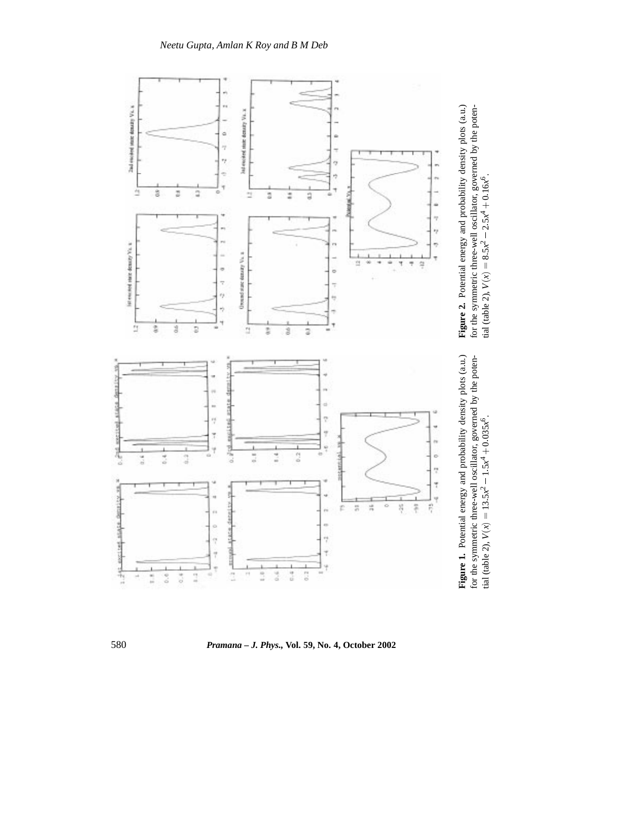

580 *Pramana – J. Phys.,* **Vol. 59, No. 4, October 2002**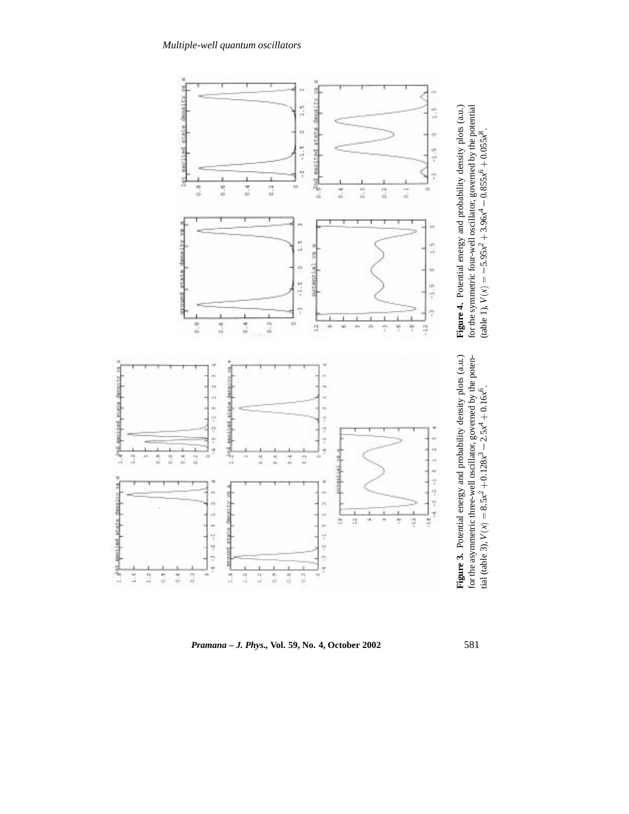

*Pramana – J. Phys.,* **Vol. 59, No. 4, October 2002** 581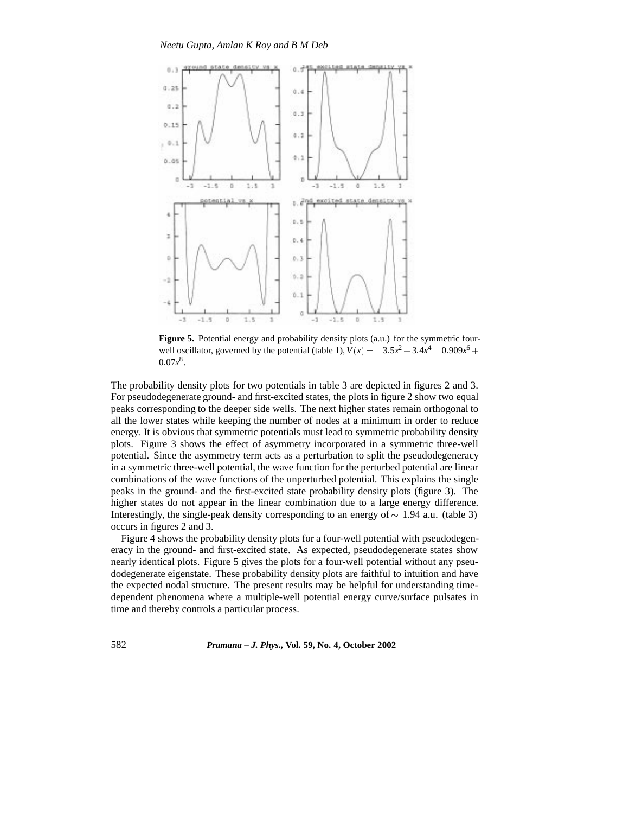

Figure 5. Potential energy and probability density plots (a.u.) for the symmetric fourwell oscillator, governed by the potential (table 1),  $V(x) = -3.5x^2 + 3.4x^4 - 0.909x^6 +$  $0.07x^8$ .

The probability density plots for two potentials in table 3 are depicted in figures 2 and 3. For pseudodegenerate ground- and first-excited states, the plots in figure 2 show two equal peaks corresponding to the deeper side wells. The next higher states remain orthogonal to all the lower states while keeping the number of nodes at a minimum in order to reduce energy. It is obvious that symmetric potentials must lead to symmetric probability density plots. Figure 3 shows the effect of asymmetry incorporated in a symmetric three-well potential. Since the asymmetry term acts as a perturbation to split the pseudodegeneracy in a symmetric three-well potential, the wave function for the perturbed potential are linear combinations of the wave functions of the unperturbed potential. This explains the single peaks in the ground- and the first-excited state probability density plots (figure 3). The higher states do not appear in the linear combination due to a large energy difference. Interestingly, the single-peak density corresponding to an energy of  $\sim 1.94$  a.u. (table 3) occurs in figures 2 and 3.

Figure 4 shows the probability density plots for a four-well potential with pseudodegeneracy in the ground- and first-excited state. As expected, pseudodegenerate states show nearly identical plots. Figure 5 gives the plots for a four-well potential without any pseudodegenerate eigenstate. These probability density plots are faithful to intuition and have the expected nodal structure. The present results may be helpful for understanding timedependent phenomena where a multiple-well potential energy curve/surface pulsates in time and thereby controls a particular process.

582 *Pramana – J. Phys.,* **Vol. 59, No. 4, October 2002**